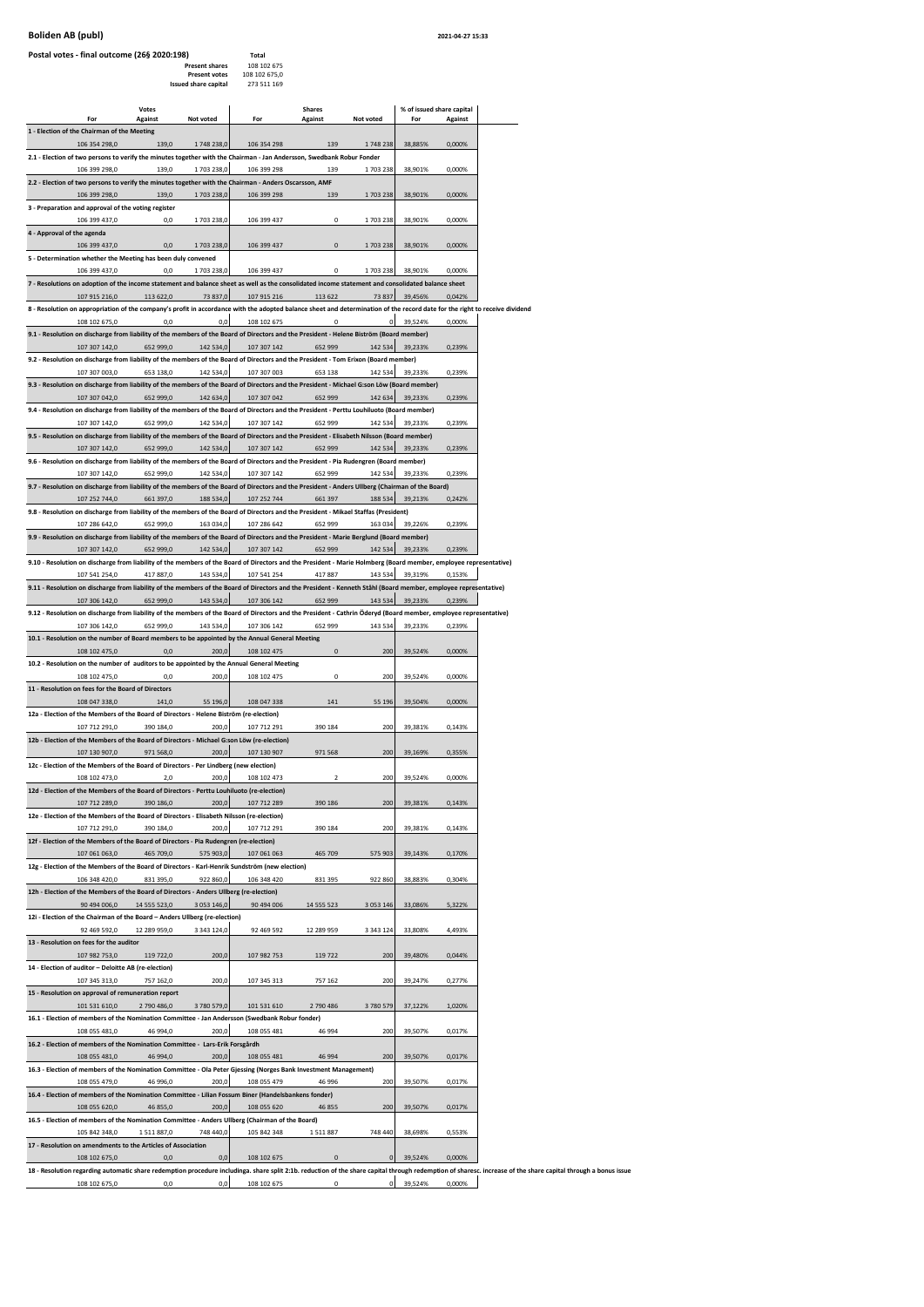## **Boliden AB (publ) 2021-04-27 15:33**

| Postal votes - final outcome (26§ 2020:198)                                                                                                                                                  |              |                                               | Total                        |                |               |                           |         |                                                                                                                                                                                                                |
|----------------------------------------------------------------------------------------------------------------------------------------------------------------------------------------------|--------------|-----------------------------------------------|------------------------------|----------------|---------------|---------------------------|---------|----------------------------------------------------------------------------------------------------------------------------------------------------------------------------------------------------------------|
|                                                                                                                                                                                              |              | <b>Present shares</b><br><b>Present votes</b> | 108 102 675<br>108 102 675,0 |                |               |                           |         |                                                                                                                                                                                                                |
|                                                                                                                                                                                              |              | Issued share capital                          | 273 511 169                  |                |               |                           |         |                                                                                                                                                                                                                |
|                                                                                                                                                                                              | Votes        |                                               |                              | <b>Shares</b>  |               | % of issued share capital |         |                                                                                                                                                                                                                |
| For<br>1 - Election of the Chairman of the Meeting                                                                                                                                           | Against      | Not voted                                     | For                          | <b>Against</b> | Not voted     | For                       | Against |                                                                                                                                                                                                                |
| 106 354 298,0                                                                                                                                                                                | 139,0        | 1748 238,0                                    | 106 354 298                  | 139            | 1748238       | 38,885%                   | 0,000%  |                                                                                                                                                                                                                |
| 2.1 - Election of two persons to verify the minutes together with the Chairman - Jan Andersson, Swedbank Robur Fonder                                                                        |              |                                               |                              |                |               |                           |         |                                                                                                                                                                                                                |
| 106 399 298,0<br>2.2 - Election of two persons to verify the minutes together with the Chairman - Anders Oscarsson, AMF                                                                      | 139,0        | 1703 238,0                                    | 106 399 298                  | 139            | 1703238       | 38,901%                   | 0,000%  |                                                                                                                                                                                                                |
| 106 399 298,0                                                                                                                                                                                | 139,0        | 1703 238,0                                    | 106 399 298                  | 139            | 1703 238      | 38,901%                   | 0,000%  |                                                                                                                                                                                                                |
| 3 - Preparation and approval of the voting register                                                                                                                                          |              |                                               |                              |                |               |                           |         |                                                                                                                                                                                                                |
| 106 399 437,0<br>4 - Approval of the agenda                                                                                                                                                  | 0,0          | 1703 238,0                                    | 106 399 437                  | $\mathbf 0$    | 1703238       | 38,901%                   | 0,000%  |                                                                                                                                                                                                                |
| 106 399 437,0                                                                                                                                                                                | 0.0          | 1703 238,0                                    | 106 399 437                  | $\overline{0}$ | 1703238       | 38,901%                   | 0,000%  |                                                                                                                                                                                                                |
| 5 - Determination whether the Meeting has been duly convened<br>106 399 437,0                                                                                                                | 0.0          | 1703 238,0                                    | 106 399 437                  | $\mathbf 0$    | 1703238       | 38,901%                   | 0,000%  |                                                                                                                                                                                                                |
| 7 - Resolutions on adoption of the income statement and balance sheet as well as the consolidated income statement and consolidated balance sheet                                            |              |                                               |                              |                |               |                           |         |                                                                                                                                                                                                                |
| 107 915 216,0                                                                                                                                                                                | 113 622,0    | 73 837,0                                      | 107 915 216                  | 113 622        | 73 837        | 39,456%                   | 0,042%  |                                                                                                                                                                                                                |
| 8 - Resolution on appropriation of the company's profit in accordance with the adopted balance sheet and determination of the record date for the right to receive dividend<br>108 102 675,0 | 0.0          | 0.0                                           | 108 102 675                  | $\Omega$       | $\Omega$      | 39,524%                   | 0,000%  |                                                                                                                                                                                                                |
| 9.1 - Resolution on discharge from liability of the members of the Board of Directors and the President - Helene Biström (Board member)                                                      |              |                                               |                              |                |               |                           |         |                                                                                                                                                                                                                |
| 107 307 142,0                                                                                                                                                                                | 652 999,0    | 142 534.0                                     | 107 307 142                  | 652 999        | 142 534       | 39,233%                   | 0,239%  |                                                                                                                                                                                                                |
| 9.2 - Resolution on discharge from liability of the members of the Board of Directors and the President - Tom Erixon (Board member)<br>107 307 003,0                                         | 653 138,0    | 142 534,0                                     | 107 307 003                  | 653 138        | 142 534       | 39,233%                   | 0,239%  |                                                                                                                                                                                                                |
| 9.3 - Resolution on discharge from liability of the members of the Board of Directors and the President - Michael G:son Löw (Board member)                                                   |              |                                               |                              |                |               |                           |         |                                                                                                                                                                                                                |
| 107 307 042,0                                                                                                                                                                                | 652 999,0    | 142 634,0                                     | 107 307 042                  | 652 999        | 142 634       | 39,233%                   | 0,239%  |                                                                                                                                                                                                                |
| 9.4 - Resolution on discharge from liability of the members of the Board of Directors and the President - Perttu Louhiluoto (Board member)<br>107 307 142.0                                  | 652 999.0    | 142 534.0                                     | 107 307 142                  | 652 999        | 142 534       | 39,233%                   | 0,239%  |                                                                                                                                                                                                                |
| 9.5 - Resolution on discharge from liability of the members of the Board of Directors and the President - Elisabeth Nilsson (Board member)                                                   |              |                                               |                              |                |               |                           |         |                                                                                                                                                                                                                |
| 107 307 142,0                                                                                                                                                                                | 652 999,0    | 142 534,0                                     | 107 307 142                  | 652 999        | 142 534       | 39,233%                   | 0,239%  |                                                                                                                                                                                                                |
| 9.6 - Resolution on discharge from liability of the members of the Board of Directors and the President - Pia Rudengren (Board member)<br>107 307 142,0                                      | 652 999,0    | 142 534,0                                     | 107 307 142                  | 652 999        | 142 534       | 39,233%                   | 0,239%  |                                                                                                                                                                                                                |
| 9.7 - Resolution on discharge from liability of the members of the Board of Directors and the President - Anders Ullberg (Chairman of the Board)                                             |              |                                               |                              |                |               |                           |         |                                                                                                                                                                                                                |
| 107 252 744,0<br>9.8 - Resolution on discharge from liability of the members of the Board of Directors and the President - Mikael Staffas (President)                                        | 661 397,0    | 188 534,0                                     | 107 252 744                  | 661 397        | 188 534       | 39,213%                   | 0,242%  |                                                                                                                                                                                                                |
| 107 286 642,0                                                                                                                                                                                | 652 999,0    | 163 034,0                                     | 107 286 642                  | 652 999        | 163 034       | 39,226%                   | 0,239%  |                                                                                                                                                                                                                |
| 9.9 - Resolution on discharge from liability of the members of the Board of Directors and the President - Marie Berglund (Board member)                                                      |              |                                               |                              |                |               |                           |         |                                                                                                                                                                                                                |
| 107 307 142,0<br>9.10 - Resolution on discharge from liability of the members of the Board of Directors and the President - Marie Holmberg (Board member, employee representative)           | 652 999,0    | 142 534,0                                     | 107 307 142                  | 652 999        | 142 534       | 39,233%                   | 0,239%  |                                                                                                                                                                                                                |
| 107 541 254,0                                                                                                                                                                                | 417 887,0    | 143 534,0                                     | 107 541 254                  | 417887         | 143 534       | 39,319%                   | 0,153%  |                                                                                                                                                                                                                |
| 9.11 - Resolution on discharge from liability of the members of the Board of Directors and the President - Kenneth Ståhl (Board member, employee representative)                             |              |                                               |                              |                |               |                           |         |                                                                                                                                                                                                                |
| 107 306 142,0<br>9.12 - Resolution on discharge from liability of the members of the Board of Directors and the President - Cathrin Öderyd (Board member, employee representative)           | 652 999,0    | 143 534,0                                     | 107 306 142                  | 652 999        | 143 534       | 39,233%                   | 0,239%  |                                                                                                                                                                                                                |
| 107 306 142,0                                                                                                                                                                                | 652 999,0    | 143 534,0                                     | 107 306 142                  | 652 999        | 143 534       | 39,233%                   | 0,239%  |                                                                                                                                                                                                                |
| 10.1 - Resolution on the number of Board members to be appointed by the Annual General Meeting                                                                                               |              |                                               |                              |                |               |                           |         |                                                                                                                                                                                                                |
| 108 102 475.0<br>10.2 - Resolution on the number of auditors to be appointed by the Annual General Meeting                                                                                   | 0,0          | 200,0                                         | 108 102 475                  | $\mathbf 0$    | 200           | 39,524%                   | 0,000%  |                                                                                                                                                                                                                |
| 108 102 475,0                                                                                                                                                                                | 0.0          | 200,0                                         | 108 102 475                  | $\mathbf 0$    | 200           | 39,524%                   | 0,000%  |                                                                                                                                                                                                                |
| 11 - Resolution on fees for the Board of Directors<br>108 047 338,0                                                                                                                          | 141,0        | 55 196,0                                      | 108 047 338                  | 141            | 55 196        | 39,504%                   | 0,000%  |                                                                                                                                                                                                                |
| 12a - Election of the Members of the Board of Directors - Helene Biström (re-election)                                                                                                       |              |                                               |                              |                |               |                           |         |                                                                                                                                                                                                                |
| 107 712 291,0                                                                                                                                                                                | 390 184,0    | 200,0                                         | 107 712 291                  | 390 184        | 200           | 39,381%                   | 0,143%  |                                                                                                                                                                                                                |
| 12b - Election of the Members of the Board of Directors - Michael G:son Löw (re-election)<br>107 130 907,0                                                                                   | 971 568,0    | 200,0                                         | 107 130 907                  | 971 568        | 200           | 39,1699                   | 0,355%  |                                                                                                                                                                                                                |
| 12c - Election of the Members of the Board of Directors - Per Lindberg (new election)                                                                                                        |              |                                               |                              |                |               |                           |         |                                                                                                                                                                                                                |
| 108 102 473.0                                                                                                                                                                                | 2.0          | 200.0                                         | 108 102 473                  | $\overline{2}$ | 200           | 39,524%                   | 0,000%  |                                                                                                                                                                                                                |
| 12d - Election of the Members of the Board of Directors - Perttu Louhiluoto (re-election)<br>107 712 289,0                                                                                   | 390 186,0    | 200,0                                         | 107 712 289                  | 390 186        | <b>200</b>    | 39,381%                   | 0,143%  |                                                                                                                                                                                                                |
| 12e - Election of the Members of the Board of Directors - Elisabeth Nilsson (re-election)                                                                                                    |              |                                               |                              |                |               |                           |         |                                                                                                                                                                                                                |
| 107 712 291,0                                                                                                                                                                                | 390 184,0    | 200,0                                         | 107 712 291                  | 390 184        | 200           | 39,381%                   | 0,143%  |                                                                                                                                                                                                                |
| 12f - Election of the Members of the Board of Directors - Pia Rudengren (re-election)<br>107 061 063,0                                                                                       | 465 709,0    | 575 903,0                                     | 107 061 063                  | 465 709        | 575 903       | 39,143%                   | 0,170%  |                                                                                                                                                                                                                |
| 12g - Election of the Members of the Board of Directors - Karl-Henrik Sundström (new election)                                                                                               |              |                                               |                              |                |               |                           |         |                                                                                                                                                                                                                |
| 106 348 420,0                                                                                                                                                                                | 831 395,0    | 922 860,0                                     | 106 348 420                  | 831 395        | 922 860       | 38,883%                   | 0,304%  |                                                                                                                                                                                                                |
| 12h - Election of the Members of the Board of Directors - Anders Ullberg (re-election)<br>90 494 006,0                                                                                       | 14 555 523,0 | 3 053 146,0                                   | 90 494 006                   | 14 555 523     | 3 0 5 3 1 4 6 | 33,086%                   | 5,322%  |                                                                                                                                                                                                                |
| 12i - Election of the Chairman of the Board - Anders Ullberg (re-election)                                                                                                                   |              |                                               |                              |                |               |                           |         |                                                                                                                                                                                                                |
| 92 469 592,0<br>13 - Resolution on fees for the auditor                                                                                                                                      | 12 289 959,0 | 3 343 124,0                                   | 92 469 592                   | 12 289 959     | 3 3 4 3 1 2 4 | 33,808%                   | 4,493%  |                                                                                                                                                                                                                |
| 107 982 753,0                                                                                                                                                                                | 119 722,0    | 200,0                                         | 107 982 753                  | 119 722        | 200           | 39,480%                   | 0,044%  |                                                                                                                                                                                                                |
| 14 - Election of auditor - Deloitte AB (re-election)                                                                                                                                         |              |                                               |                              |                |               |                           |         |                                                                                                                                                                                                                |
| 107 345 313,0<br>15 - Resolution on approval of remuneration report                                                                                                                          | 757 162,0    | 200,0                                         | 107 345 313                  | 757 162        | 200           | 39,247%                   | 0,277%  |                                                                                                                                                                                                                |
| 101 531 610,0                                                                                                                                                                                | 2 790 486,0  | 3780579,0                                     | 101 531 610                  | 2 790 486      | 3780579       | 37,122%                   | 1,020%  |                                                                                                                                                                                                                |
| 16.1 - Election of members of the Nomination Committee - Jan Andersson (Swedbank Robur fonder)                                                                                               |              |                                               |                              |                |               |                           |         |                                                                                                                                                                                                                |
| 108 055 481,0                                                                                                                                                                                | 46 994,0     | 200,0                                         | 108 055 481                  | 46 994         | 200           | 39,507%                   | 0,017%  |                                                                                                                                                                                                                |
| 16.2 - Election of members of the Nomination Committee - Lars-Erik Forsgårdh<br>108 055 481,0                                                                                                | 46 994,0     | 200,0                                         | 108 055 481                  | 46 994         | 200           | 39,507%                   | 0,017%  |                                                                                                                                                                                                                |
| 16.3 - Election of members of the Nomination Committee - Ola Peter Gjessing (Norges Bank Investment Management)                                                                              |              |                                               |                              |                |               |                           |         |                                                                                                                                                                                                                |
| 108 055 479,0                                                                                                                                                                                | 46 996,0     | 200,0                                         | 108 055 479                  | 46 996         | 200           | 39,507%                   | 0,017%  |                                                                                                                                                                                                                |
| 16.4 - Election of members of the Nomination Committee - Lilian Fossum Biner (Handelsbankens fonder)<br>108 055 620,0                                                                        | 46 855,0     | 200,0                                         | 108 055 620                  | 46 855         | 200           | 39,507%                   | 0,017%  |                                                                                                                                                                                                                |
| 16.5 - Election of members of the Nomination Committee - Anders Ullberg (Chairman of the Board)                                                                                              |              |                                               |                              |                |               |                           |         |                                                                                                                                                                                                                |
| 105 842 348,0                                                                                                                                                                                | 1511887,0    | 748 440,0                                     | 105 842 348                  | 1511887        | 748 440       | 38,698%                   | 0,553%  |                                                                                                                                                                                                                |
| 17 - Resolution on amendments to the Articles of Association<br>108 102 675,0                                                                                                                | 0,0          | 0,0                                           | 108 102 675                  | $\mathbf 0$    | $\mathbf 0$   | 39,524%                   | 0,000%  |                                                                                                                                                                                                                |
|                                                                                                                                                                                              |              |                                               |                              |                |               |                           |         | 18 - Resolution regarding automatic share redemption procedure includinga. share split 2:1b. reduction of the share capital through redemption of sharesc. increase of the share capital through a bonus issue |

0,0 108 102 675 108 102 675,0 0,0 0,0 108 102 675 0 0 39,524% 0,000%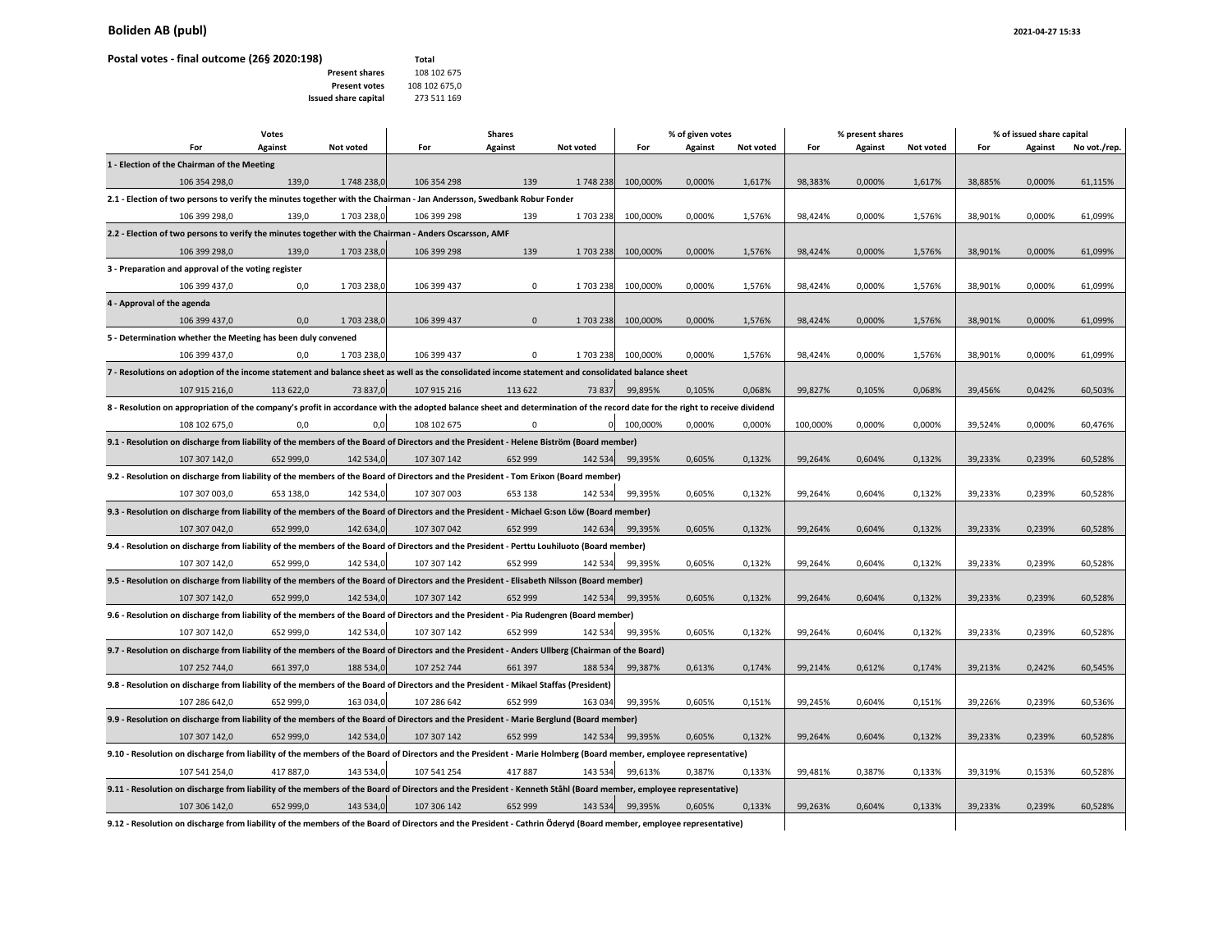## **Boliden AB (publ)** 2021-04-27 15:33

## **Postal votes ‐ final outcome (26§ 2020:198) Total**

|                                                                                                                                                                             | Votes<br><b>Shares</b> |            |             | % of given votes |           |          |                | % present shares |          | % of issued share capital |           |         |         |              |
|-----------------------------------------------------------------------------------------------------------------------------------------------------------------------------|------------------------|------------|-------------|------------------|-----------|----------|----------------|------------------|----------|---------------------------|-----------|---------|---------|--------------|
| For                                                                                                                                                                         | Against                | Not voted  | For         | Against          | Not voted | For      | <b>Against</b> | Not voted        | For      | Against                   | Not voted | For     | Against | No vot./rep. |
| 1 - Election of the Chairman of the Meeting                                                                                                                                 |                        |            |             |                  |           |          |                |                  |          |                           |           |         |         |              |
| 106 354 298,0                                                                                                                                                               | 139,0                  | 1748 238,0 | 106 354 298 | 139              | 1748238   | 100,000% | 0,000%         | 1,617%           | 98,383%  | 0,000%                    | 1,617%    | 38,885% | 0,000%  | 61,115%      |
| 2.1 - Election of two persons to verify the minutes together with the Chairman - Jan Andersson, Swedbank Robur Fonder                                                       |                        |            |             |                  |           |          |                |                  |          |                           |           |         |         |              |
| 106 399 298,0                                                                                                                                                               | 139,0                  | 1703 238,0 | 106 399 298 | 139              | 1703238   | 100,000% | 0,000%         | 1,576%           | 98,424%  | 0,000%                    | 1,576%    | 38,901% | 0,000%  | 61,099%      |
| 2.2 - Election of two persons to verify the minutes together with the Chairman - Anders Oscarsson, AMF                                                                      |                        |            |             |                  |           |          |                |                  |          |                           |           |         |         |              |
| 106 399 298,0                                                                                                                                                               | 139,0                  | 1703 238,  | 106 399 298 | 139              | 1703238   | 100,000% | 0,000%         | 1,576%           | 98,424%  | 0,000%                    | 1,576%    | 38,901% | 0,000%  | 61,099%      |
| 3 - Preparation and approval of the voting register                                                                                                                         |                        |            |             |                  |           |          |                |                  |          |                           |           |         |         |              |
| 106 399 437,0                                                                                                                                                               | 0,0                    | 1703 238,  | 106 399 437 | $\mathbf 0$      | 1703238   | 100,000% | 0,000%         | 1,576%           | 98,424%  | 0,000%                    | 1,576%    | 38,901% | 0,000%  | 61,099%      |
| 4 - Approval of the agenda                                                                                                                                                  |                        |            |             |                  |           |          |                |                  |          |                           |           |         |         |              |
| 106 399 437,0                                                                                                                                                               | 0,0                    | 1703 238,0 | 106 399 437 | $\mathbf{0}$     | 1703238   | 100,000% | 0,000%         | 1,576%           | 98,424%  | 0,000%                    | 1,576%    | 38,901% | 0,000%  | 61,099%      |
| 5 - Determination whether the Meeting has been duly convened                                                                                                                |                        |            |             |                  |           |          |                |                  |          |                           |           |         |         |              |
| 106 399 437,0                                                                                                                                                               | 0.0                    | 1703 238,0 | 106 399 437 | $\mathbf 0$      | 1703238   | 100,000% | 0.000%         | 1,576%           | 98,424%  | 0,000%                    | 1,576%    | 38,901% | 0.000%  | 61,099%      |
| 7 - Resolutions on adoption of the income statement and balance sheet as well as the consolidated income statement and consolidated balance sheet                           |                        |            |             |                  |           |          |                |                  |          |                           |           |         |         |              |
| 107 915 216,0                                                                                                                                                               | 113 622,0              | 73 837,0   | 107 915 216 | 113 622          | 73 837    | 99,895%  | 0,105%         | 0,068%           | 99,827%  | 0,105%                    | 0,068%    | 39,456% | 0,042%  | 60,503%      |
| 8 - Resolution on appropriation of the company's profit in accordance with the adopted balance sheet and determination of the record date for the right to receive dividend |                        |            |             |                  |           |          |                |                  |          |                           |           |         |         |              |
| 108 102 675,0                                                                                                                                                               | 0,0                    | 0,0        | 108 102 675 | $\mathsf 0$      | $\Omega$  | 100,000% | 0,000%         | 0,000%           | 100,000% | 0,000%                    | 0,000%    | 39,524% | 0,000%  | 60,476%      |
| 9.1 - Resolution on discharge from liability of the members of the Board of Directors and the President - Helene Biström (Board member)                                     |                        |            |             |                  |           |          |                |                  |          |                           |           |         |         |              |
| 107 307 142,0                                                                                                                                                               | 652 999,0              | 142 534,0  | 107 307 142 | 652 999          | 142 534   | 99,395%  | 0,605%         | 0,132%           | 99,264%  | 0,604%                    | 0,132%    | 39,233% | 0,239%  | 60,528%      |
| 9.2 - Resolution on discharge from liability of the members of the Board of Directors and the President - Tom Erixon (Board member)                                         |                        |            |             |                  |           |          |                |                  |          |                           |           |         |         |              |
| 107 307 003,0                                                                                                                                                               | 653 138,0              | 142 534,0  | 107 307 003 | 653 138          | 142 534   | 99,395%  | 0,605%         | 0,132%           | 99,264%  | 0,604%                    | 0,132%    | 39,233% | 0,239%  | 60,528%      |
| 9.3 - Resolution on discharge from liability of the members of the Board of Directors and the President - Michael G:son Löw (Board member)                                  |                        |            |             |                  |           |          |                |                  |          |                           |           |         |         |              |
| 107 307 042,0                                                                                                                                                               | 652 999,0              | 142 634,0  | 107 307 042 | 652 999          | 142 634   | 99,395%  | 0,605%         | 0,132%           | 99,264%  | 0,604%                    | 0,132%    | 39,233% | 0,239%  | 60,528%      |
| 9.4 - Resolution on discharge from liability of the members of the Board of Directors and the President - Perttu Louhiluoto (Board member)                                  |                        |            |             |                  |           |          |                |                  |          |                           |           |         |         |              |
| 107 307 142,0                                                                                                                                                               | 652 999,0              | 142 534,0  | 107 307 142 | 652 999          | 142 534   | 99,395%  | 0,605%         | 0,132%           | 99,264%  | 0,604%                    | 0,132%    | 39,233% | 0,239%  | 60,528%      |
| 9.5 - Resolution on discharge from liability of the members of the Board of Directors and the President - Elisabeth Nilsson (Board member)                                  |                        |            |             |                  |           |          |                |                  |          |                           |           |         |         |              |
| 107 307 142,0                                                                                                                                                               | 652 999,0              | 142 534,0  | 107 307 142 | 652 999          | 142 534   | 99,395%  | 0,605%         | 0,132%           | 99,264%  | 0,604%                    | 0,132%    | 39,233% | 0,239%  | 60,528%      |
| 9.6 - Resolution on discharge from liability of the members of the Board of Directors and the President - Pia Rudengren (Board member)                                      |                        |            |             |                  |           |          |                |                  |          |                           |           |         |         |              |
| 107 307 142,0                                                                                                                                                               | 652 999,0              | 142 534,0  | 107 307 142 | 652 999          | 142 534   | 99,395%  | 0,605%         | 0,132%           | 99,264%  | 0,604%                    | 0,132%    | 39,233% | 0,239%  | 60,528%      |
| 9.7 - Resolution on discharge from liability of the members of the Board of Directors and the President - Anders Ullberg (Chairman of the Board)                            |                        |            |             |                  |           |          |                |                  |          |                           |           |         |         |              |
| 107 252 744,0                                                                                                                                                               | 661 397,0              | 188 534,0  | 107 252 744 | 661 397          | 188 534   | 99,387%  | 0,613%         | 0,174%           | 99,214%  | 0,612%                    | 0,174%    | 39,213% | 0,242%  | 60,545%      |
| 9.8 - Resolution on discharge from liability of the members of the Board of Directors and the President - Mikael Staffas (President)                                        |                        |            |             |                  |           |          |                |                  |          |                           |           |         |         |              |
| 107 286 642,0                                                                                                                                                               | 652 999,0              | 163 034,0  | 107 286 642 | 652 999          | 163 034   | 99,395%  | 0,605%         | 0,151%           | 99,245%  | 0,604%                    | 0,151%    | 39,226% | 0,239%  | 60,536%      |
| 9.9 - Resolution on discharge from liability of the members of the Board of Directors and the President - Marie Berglund (Board member)                                     |                        |            |             |                  |           |          |                |                  |          |                           |           |         |         |              |
| 107 307 142,0                                                                                                                                                               | 652 999,0              | 142 534,0  | 107 307 142 | 652 999          | 142 534   | 99,395%  | 0,605%         | 0,132%           | 99,264%  | 0,604%                    | 0,132%    | 39,233% | 0,239%  | 60,528%      |
| 9.10 - Resolution on discharge from liability of the members of the Board of Directors and the President - Marie Holmberg (Board member, employee representative)           |                        |            |             |                  |           |          |                |                  |          |                           |           |         |         |              |
| 107 541 254,0                                                                                                                                                               | 417 887,0              | 143 534,0  | 107 541 254 | 417887           | 143 534   | 99,613%  | 0,387%         | 0,133%           | 99,481%  | 0,387%                    | 0,133%    | 39,319% | 0,153%  | 60,528%      |
| 9.11 - Resolution on discharge from liability of the members of the Board of Directors and the President - Kenneth Ståhl (Board member, employee representative)            |                        |            |             |                  |           |          |                |                  |          |                           |           |         |         |              |
| 107 306 142,0                                                                                                                                                               | 652 999,0              | 143 534,   | 107 306 142 | 652 999          | 143 534   | 99,395%  | 0,605%         | 0,133%           | 99,263%  | 0,604%                    | 0,133%    | 39,233% | 0,239%  | 60,528%      |
| 9.12 - Resolution on discharge from liability of the members of the Board of Directors and the President - Cathrin Öderyd (Board member, employee representative)           |                        |            |             |                  |           |          |                |                  |          |                           |           |         |         |              |
|                                                                                                                                                                             |                        |            |             |                  |           |          |                |                  |          |                           |           |         |         |              |

 $\sim$ 

 $\mathbf{r}$